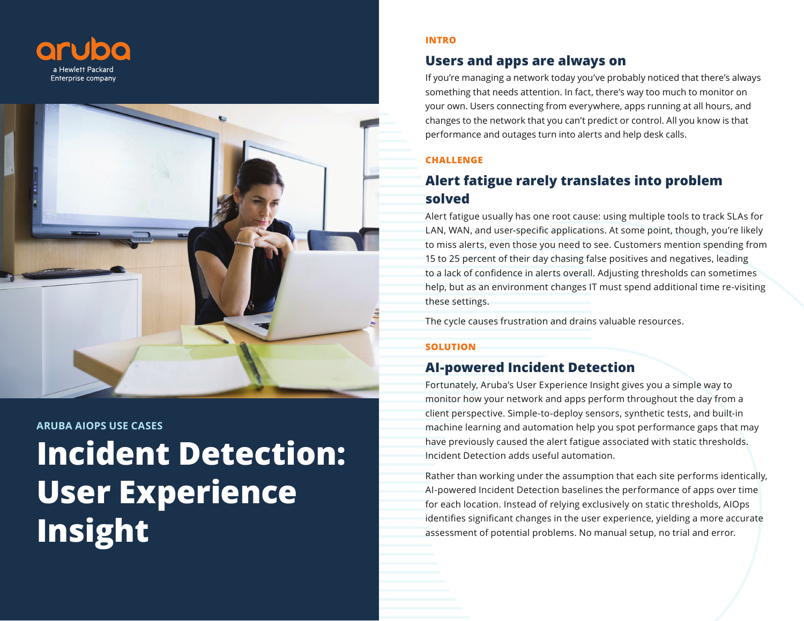



# **Incident Detection: User Experience Insight ARUBA AIOPS USE CASES**

#### **INTRO**

## **Users and apps are always on**

If you're managing a network today you've probably noticed that there's always something that needs attention. In fact, there's way too much to monitor on your own. Users connecting from everywhere, apps running at all hours, and changes to the network that you can't predict or control. All you know is that performance and outages turn into alerts and help desk calls.

### **CHALLENGE**

# **Alert fatigue rarely translates into problem solved**

Alert fatigue usually has one root cause: using multiple tools to track SLAs for LAN, WAN, and user-specific applications. At some point, though, you're likely to miss alerts, even those you need to see. Customers mention spending from 15 to 25 percent of their day chasing false positives and negatives, leading to a lack of confidence in alerts overall. Adjusting thresholds can sometimes help, but as an environment changes IT must spend additional time re-visiting these settings.

The cycle causes frustration and drains valuable resources.

### **SOLUTION**

## **AI-powered Incident Detection**

Fortunately, Aruba's User Experience Insight gives you a simple way to monitor how your network and apps perform throughout the day from a client perspective. Simple-to-deploy sensors, synthetic tests, and built-in machine learning and automation help you spot performance gaps that may have previously caused the alert fatigue associated with static thresholds. Incident Detection adds useful automation.

Rather than working under the assumption that each site performs identically, AI-powered Incident Detection baselines the performance of apps over time for each location. Instead of relying exclusively on static thresholds, AIOps identifies significant changes in the user experience, yielding a more accurate assessment of potential problems. No manual setup, no trial and error.